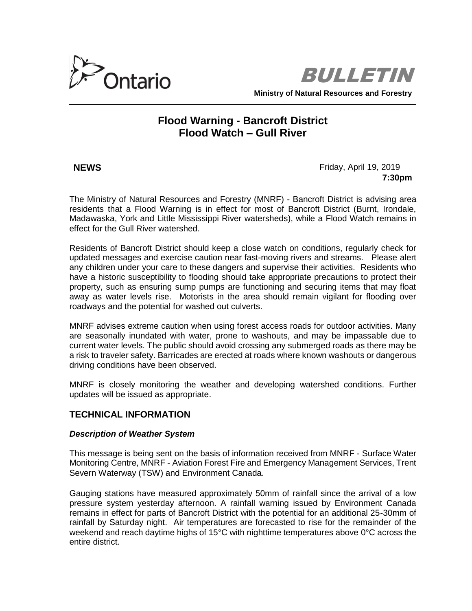

BULLETIN **Ministry of Natural Resources and Forestry**

# **Flood Warning - Bancroft District Flood Watch – Gull River**

**NEWS Friday, April 19, 2019 7:30pm**

The Ministry of Natural Resources and Forestry (MNRF) - Bancroft District is advising area residents that a Flood Warning is in effect for most of Bancroft District (Burnt, Irondale, Madawaska, York and Little Mississippi River watersheds), while a Flood Watch remains in effect for the Gull River watershed.

Residents of Bancroft District should keep a close watch on conditions, regularly check for updated messages and exercise caution near fast-moving rivers and streams. Please alert any children under your care to these dangers and supervise their activities. Residents who have a historic susceptibility to flooding should take appropriate precautions to protect their property, such as ensuring sump pumps are functioning and securing items that may float away as water levels rise. Motorists in the area should remain vigilant for flooding over roadways and the potential for washed out culverts.

MNRF advises extreme caution when using forest access roads for outdoor activities. Many are seasonally inundated with water, prone to washouts, and may be impassable due to current water levels. The public should avoid crossing any submerged roads as there may be a risk to traveler safety. Barricades are erected at roads where known washouts or dangerous driving conditions have been observed.

MNRF is closely monitoring the weather and developing watershed conditions. Further updates will be issued as appropriate.

# **TECHNICAL INFORMATION**

### *Description of Weather System*

This message is being sent on the basis of information received from MNRF - Surface Water Monitoring Centre, MNRF - Aviation Forest Fire and Emergency Management Services, Trent Severn Waterway (TSW) and Environment Canada.

Gauging stations have measured approximately 50mm of rainfall since the arrival of a low pressure system yesterday afternoon. A rainfall warning issued by Environment Canada remains in effect for parts of Bancroft District with the potential for an additional 25-30mm of rainfall by Saturday night. Air temperatures are forecasted to rise for the remainder of the weekend and reach daytime highs of 15°C with nighttime temperatures above 0°C across the entire district.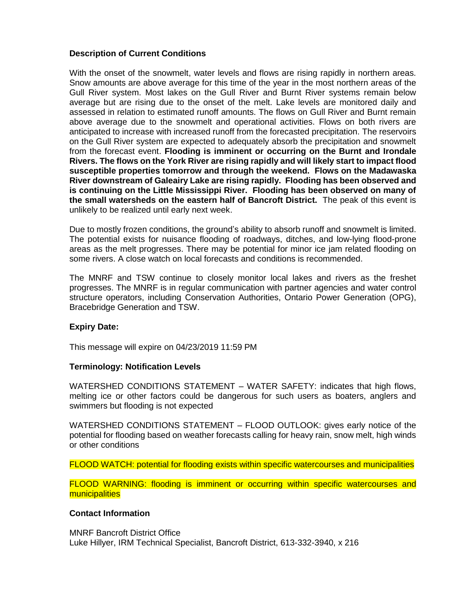# **Description of Current Conditions**

With the onset of the snowmelt, water levels and flows are rising rapidly in northern areas. Snow amounts are above average for this time of the year in the most northern areas of the Gull River system. Most lakes on the Gull River and Burnt River systems remain below average but are rising due to the onset of the melt. Lake levels are monitored daily and assessed in relation to estimated runoff amounts. The flows on Gull River and Burnt remain above average due to the snowmelt and operational activities. Flows on both rivers are anticipated to increase with increased runoff from the forecasted precipitation. The reservoirs on the Gull River system are expected to adequately absorb the precipitation and snowmelt from the forecast event. **Flooding is imminent or occurring on the Burnt and Irondale Rivers. The flows on the York River are rising rapidly and will likely start to impact flood susceptible properties tomorrow and through the weekend. Flows on the Madawaska River downstream of Galeairy Lake are rising rapidly. Flooding has been observed and is continuing on the Little Mississippi River. Flooding has been observed on many of the small watersheds on the eastern half of Bancroft District.** The peak of this event is unlikely to be realized until early next week.

Due to mostly frozen conditions, the ground's ability to absorb runoff and snowmelt is limited. The potential exists for nuisance flooding of roadways, ditches, and low-lying flood-prone areas as the melt progresses. There may be potential for minor ice jam related flooding on some rivers. A close watch on local forecasts and conditions is recommended.

The MNRF and TSW continue to closely monitor local lakes and rivers as the freshet progresses. The MNRF is in regular communication with partner agencies and water control structure operators, including Conservation Authorities, Ontario Power Generation (OPG), Bracebridge Generation and TSW.

### **Expiry Date:**

This message will expire on 04/23/2019 11:59 PM

### **Terminology: Notification Levels**

WATERSHED CONDITIONS STATEMENT – WATER SAFETY: indicates that high flows, melting ice or other factors could be dangerous for such users as boaters, anglers and swimmers but flooding is not expected

WATERSHED CONDITIONS STATEMENT – FLOOD OUTLOOK: gives early notice of the potential for flooding based on weather forecasts calling for heavy rain, snow melt, high winds or other conditions

FLOOD WATCH: potential for flooding exists within specific watercourses and municipalities

FLOOD WARNING: flooding is imminent or occurring within specific watercourses and municipalities

# **Contact Information**

MNRF Bancroft District Office Luke Hillyer, IRM Technical Specialist, Bancroft District, 613-332-3940, x 216